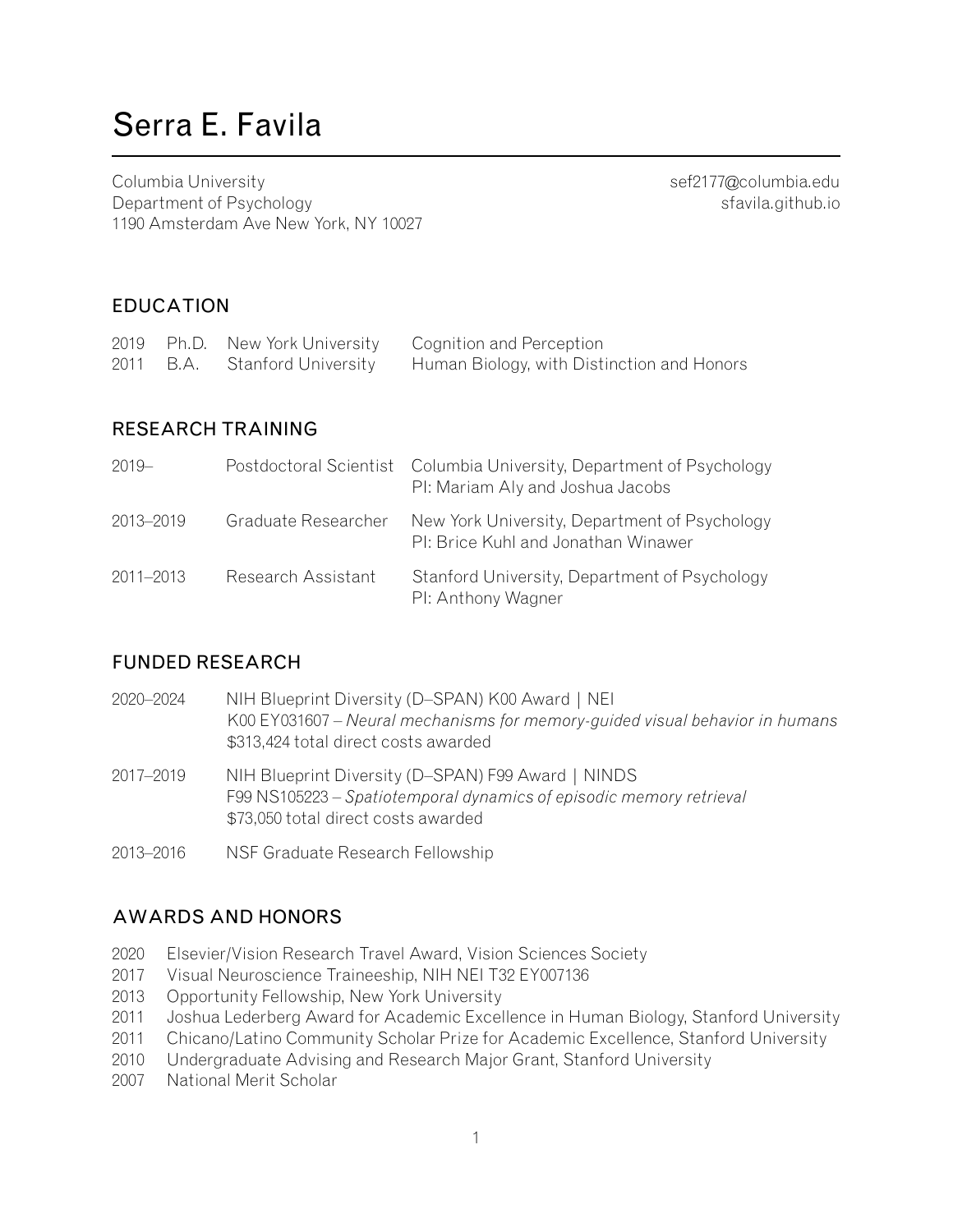# Serra E. Favila

Columbia University and the columbia University [sef2177@columbia.edu](mailto:sef2177@columbia.edu) Department of Psychology states and the properties of the states of the states of the states of the states of the states of the states of the states of the states of the states of the states of the states of the states of 1190 Amsterdam Ave New York, NY 10027

### EDUCATION

|  |                               | 2019 Ph.D. New York University Cognition and Perception |
|--|-------------------------------|---------------------------------------------------------|
|  | 2011 B.A. Stanford University | Human Biology, with Distinction and Honors              |

#### RESEARCH TRAINING

| $2019 -$      |                     | Postdoctoral Scientist Columbia University, Department of Psychology<br>PI: Mariam Aly and Joshua Jacobs |
|---------------|---------------------|----------------------------------------------------------------------------------------------------------|
| 2013-2019     | Graduate Researcher | New York University, Department of Psychology<br>PI: Brice Kuhl and Jonathan Winawer                     |
| $2011 - 2013$ | Research Assistant  | Stanford University, Department of Psychology<br>PI: Anthony Wagner                                      |

#### FUNDED RESEARCH

| 2020-2024 | NIH Blueprint Diversity (D-SPAN) K00 Award   NEI<br>K00 EY031607 – Neural mechanisms for memory-guided visual behavior in humans<br>\$313,424 total direct costs awarded |
|-----------|--------------------------------------------------------------------------------------------------------------------------------------------------------------------------|
| 2017-2019 | NIH Blueprint Diversity (D-SPAN) F99 Award   NINDS<br>F99 NS105223 – Spatiotemporal dynamics of episodic memory retrieval<br>\$73,050 total direct costs awarded         |
| 2013-2016 | NSF Graduate Research Fellowship                                                                                                                                         |

# AWARDS AND HONORS

- 2020 Elsevier/Vision Research Travel Award, Vision Sciences Society
- 2017 Visual Neuroscience Traineeship, NIH NEI T32 EY007136
- 2013 Opportunity Fellowship, New York University
- 2011 Joshua Lederberg Award for Academic Excellence in Human Biology, Stanford University
- 2011 Chicano/Latino Community Scholar Prize for Academic Excellence, Stanford University
- 2010 Undergraduate Advising and Research Major Grant, Stanford University
- 2007 National Merit Scholar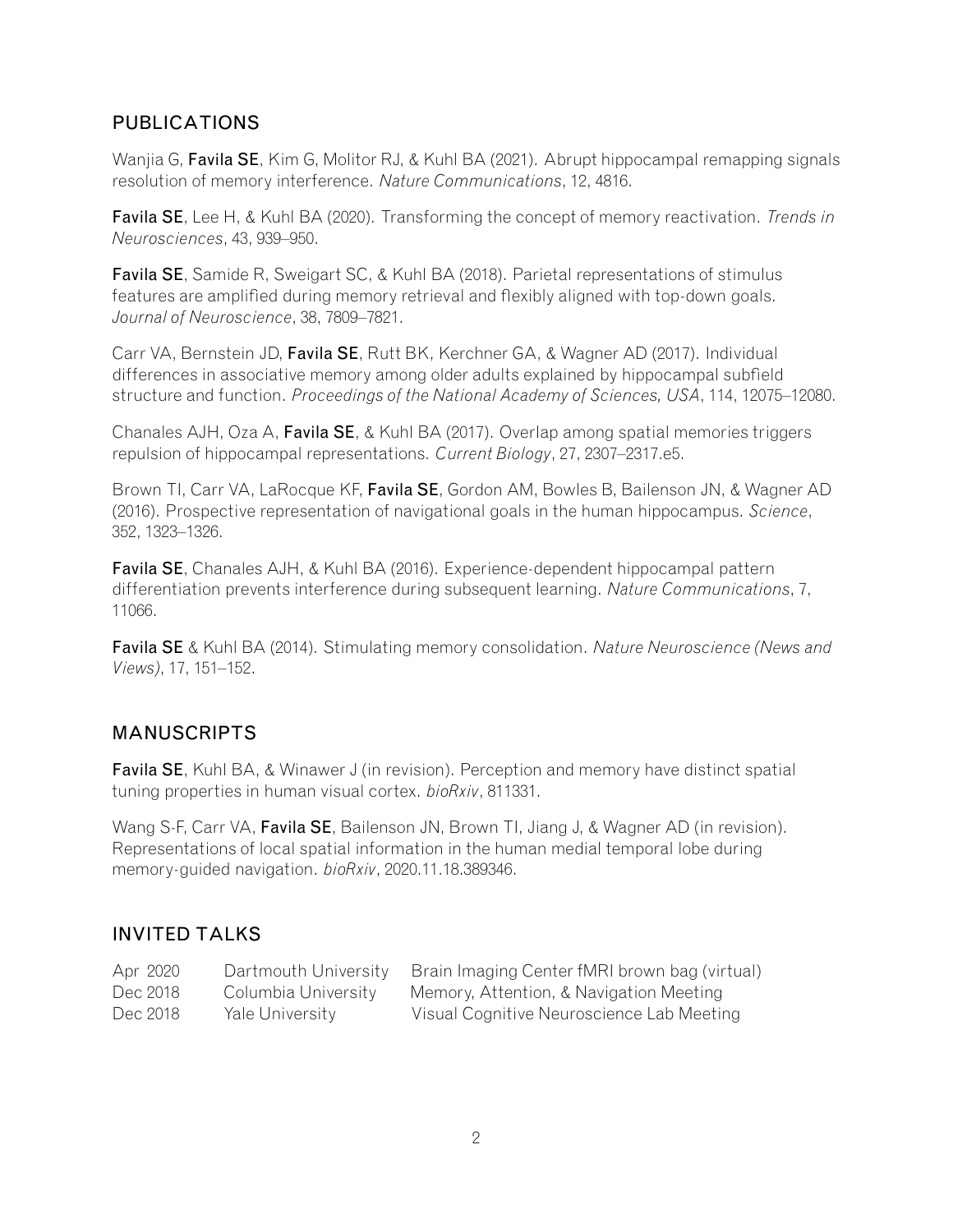# PUBLICATIONS

Wanjia G, Favila SE, Kim G, Molitor RJ, & Kuhl BA (2021). [Abrupt hippocampal remapping signals](https://doi.org/10.1038/s41467-021-25126-0) [resolution of memory interference](https://doi.org/10.1038/s41467-021-25126-0). *Nature Communications*, 12, 4816.

Favila SE, Lee H, & Kuhl BA (2020). [Transforming the concept of memory reactivation](https://doi.org/10.1016/j.tins.2020.09.006). *Trends in Neurosciences*, 43, 939–950.

Favila SE, Samide R, Sweigart SC, & Kuhl BA (2018). [Parietal representations of stimulus](https://doi.org/10.1523/JNEUROSCI.0564-18.2018) [features are amplified during memory retrieval and flexibly aligned with top-down goals.](https://doi.org/10.1523/JNEUROSCI.0564-18.2018) *Journal of Neuroscience*, 38, 7809–7821.

Carr VA, Bernstein JD, Favila SE, Rutt BK, Kerchner GA, & Wagner AD (2017). [Individual](https://doi.org/10.1073/pnas.1713308114) [differences in associative memory among older adults explained by hippocampal subfield](https://doi.org/10.1073/pnas.1713308114) [structure and function](https://doi.org/10.1073/pnas.1713308114). *Proceedings of the National Academy of Sciences, USA*, 114, 12075–12080.

Chanales AJH, Oza A, Favila SE, & Kuhl BA (2017). [Overlap among spatial memories triggers](https://doi.org/10.1016/j.cub.2017.06.057) [repulsion of hippocampal representations](https://doi.org/10.1016/j.cub.2017.06.057). *Current Biology*, 27, 2307–2317.e5.

Brown TI, Carr VA, LaRocque KF, Favila SE, Gordon AM, Bowles B, Bailenson JN, & Wagner AD (2016). [Prospective representation of navigational goals in the human hippocampus](https://doi.org/10.1126/science.aaf0784). *Science*, 352, 1323–1326.

Favila SE, Chanales AJH, & Kuhl BA (2016). [Experience-dependent hippocampal pattern](https://doi.org/10.1038/ncomms11066) [differentiation prevents interference during subsequent learning.](https://doi.org/10.1038/ncomms11066) *Nature Communications*, 7, 11066.

Favila SE & Kuhl BA (2014). [Stimulating memory consolidation.](https://doi.org/10.1038/nn.3638) *Nature Neuroscience (News and Views)*, 17, 151–152.

# MANUSCRIPTS

Favila SE, Kuhl BA, & Winawer J (in revision). [Perception and memory have distinct spatial](https://www.biorxiv.org/content/10.1101/811331v2) [tuning properties in human visual cortex.](https://www.biorxiv.org/content/10.1101/811331v2) *bioRxiv*, 811331.

Wang S-F, Carr VA, Favila SE, Bailenson JN, Brown TI, Jiang J, & Wagner AD (in revision). [Representations of local spatial information in the human medial temporal lobe during](https://www.biorxiv.org/content/10.1101/2020.11.18.389346v1) [memory-guided navigation.](https://www.biorxiv.org/content/10.1101/2020.11.18.389346v1) *bioRxiv*, 2020.11.18.389346.

# INVITED TALKS

| Apr 2020 | Dartmouth University | Brain Imaging Center fMRI brown bag (virtual) |
|----------|----------------------|-----------------------------------------------|
| Dec 2018 | Columbia University  | Memory, Attention, & Navigation Meeting       |
| Dec 2018 | Yale University      | Visual Cognitive Neuroscience Lab Meeting     |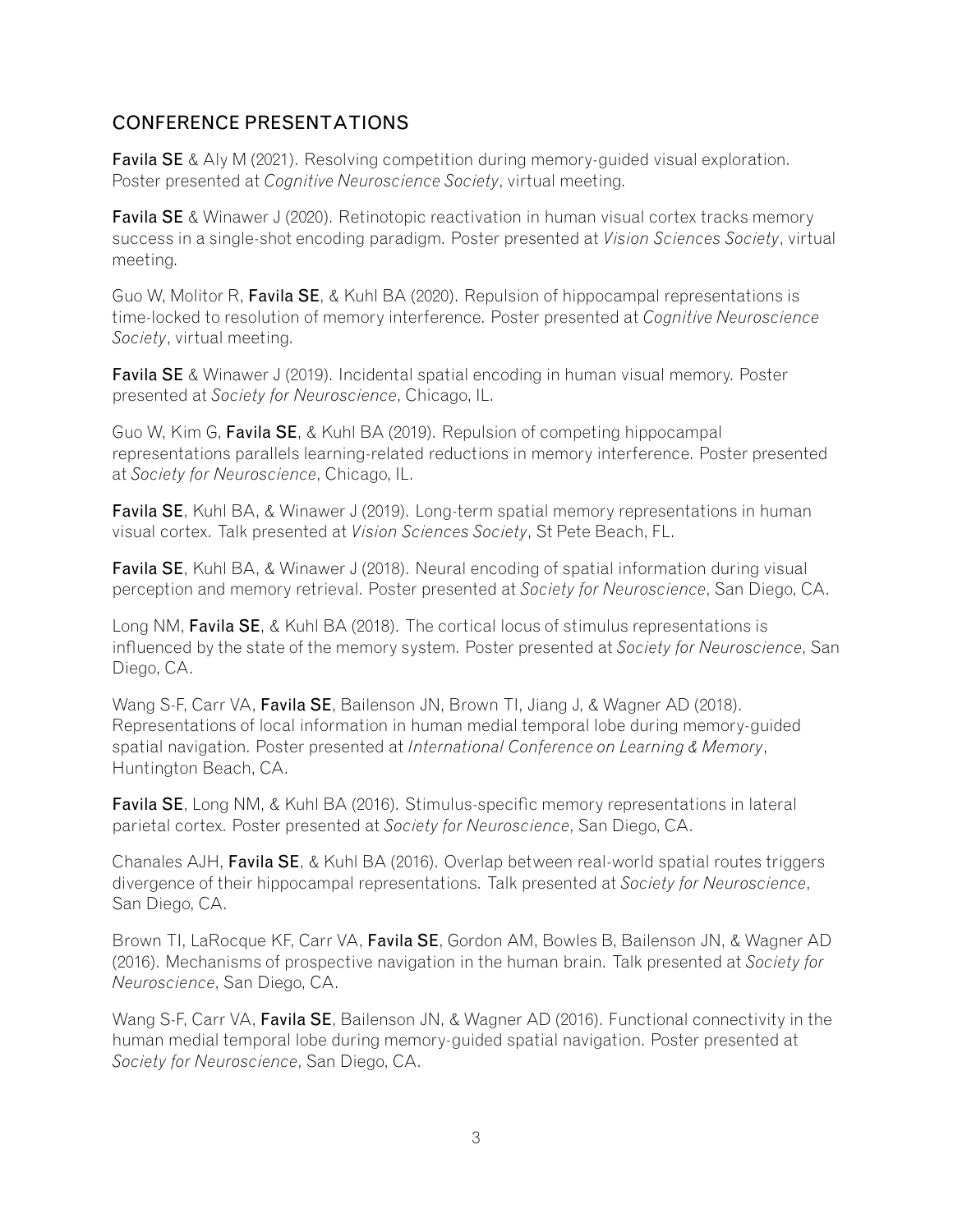# CONFERENCE PRESENTATIONS

**Favila SE** & Aly M (2021). Resolving competition during memory-guided visual exploration. Poster presented at *Cognitive Neuroscience Society*, virtual meeting.

**Favila SE** & Winawer J (2020). Retinotopic reactivation in human visual cortex tracks memory success in a single-shot encoding paradigm. Poster presented at *Vision Sciences Society*, virtual meeting.

Guo W, Molitor R, Favila SE, & Kuhl BA (2020). Repulsion of hippocampal representations is time-locked to resolution of memory interference. Poster presented at *Cognitive Neuroscience Society*, virtual meeting.

**Favila SE** & Winawer J (2019). Incidental spatial encoding in human visual memory. Poster presented at *Society for Neuroscience*, Chicago, IL.

Guo W, Kim G, Favila SE, & Kuhl BA (2019). Repulsion of competing hippocampal representations parallels learning-related reductions in memory interference. Poster presented at *Society for Neuroscience*, Chicago, IL.

Favila SE, Kuhl BA, & Winawer J (2019). Long-term spatial memory representations in human visual cortex. Talk presented at *Vision Sciences Society*, St Pete Beach, FL.

Favila SE, Kuhl BA, & Winawer J (2018). Neural encoding of spatial information during visual perception and memory retrieval. Poster presented at *Society for Neuroscience*, San Diego, CA.

Long NM, Favila SE, & Kuhl BA (2018). The cortical locus of stimulus representations is influenced by the state of the memory system. Poster presented at *Society for Neuroscience*, San Diego, CA.

Wang S-F, Carr VA, Favila SE, Bailenson JN, Brown TI, Jiang J, & Wagner AD (2018). Representations of local information in human medial temporal lobe during memory-guided spatial navigation. Poster presented at *International Conference on Learning & Memory*, Huntington Beach, CA.

Favila SE, Long NM, & Kuhl BA (2016). Stimulus-specific memory representations in lateral parietal cortex. Poster presented at *Society for Neuroscience*, San Diego, CA.

Chanales AJH, Favila SE, & Kuhl BA (2016). Overlap between real-world spatial routes triggers divergence of their hippocampal representations. Talk presented at *Society for Neuroscience*, San Diego, CA.

Brown TI, LaRocque KF, Carr VA, Favila SE, Gordon AM, Bowles B, Bailenson JN, & Wagner AD (2016). Mechanisms of prospective navigation in the human brain. Talk presented at *Society for Neuroscience*, San Diego, CA.

Wang S-F, Carr VA, Favila SE, Bailenson JN, & Wagner AD (2016). Functional connectivity in the human medial temporal lobe during memory-guided spatial navigation. Poster presented at *Society for Neuroscience*, San Diego, CA.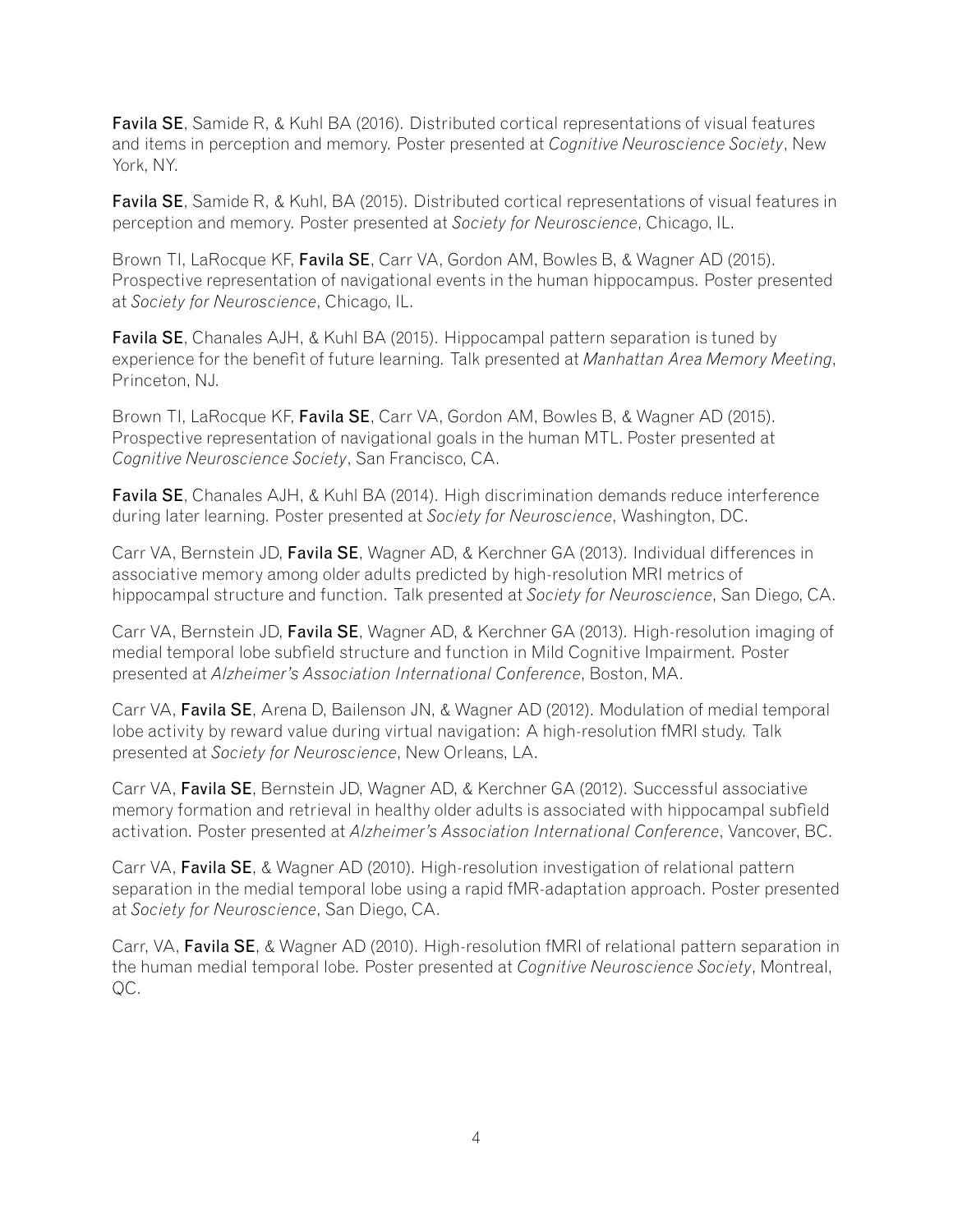**Favila SE**, Samide R, & Kuhl BA (2016). Distributed cortical representations of visual features and items in perception and memory. Poster presented at *Cognitive Neuroscience Society*, New York, NY.

Favila SE, Samide R, & Kuhl, BA (2015). Distributed cortical representations of visual features in perception and memory. Poster presented at *Society for Neuroscience*, Chicago, IL.

Brown TI, LaRocque KF, Favila SE, Carr VA, Gordon AM, Bowles B, & Wagner AD (2015). Prospective representation of navigational events in the human hippocampus. Poster presented at *Society for Neuroscience*, Chicago, IL.

Favila SE, Chanales AJH, & Kuhl BA (2015). Hippocampal pattern separation is tuned by experience for the benefit of future learning. Talk presented at *Manhattan Area Memory Meeting*, Princeton, NJ.

Brown TI, LaRocque KF, Favila SE, Carr VA, Gordon AM, Bowles B, & Wagner AD (2015). Prospective representation of navigational goals in the human MTL. Poster presented at *Cognitive Neuroscience Society*, San Francisco, CA.

Favila SE, Chanales AJH, & Kuhl BA (2014). High discrimination demands reduce interference during later learning. Poster presented at *Society for Neuroscience*, Washington, DC.

Carr VA, Bernstein JD, Favila SE, Wagner AD, & Kerchner GA (2013). Individual differences in associative memory among older adults predicted by high-resolution MRI metrics of hippocampal structure and function. Talk presented at *Society for Neuroscience*, San Diego, CA.

Carr VA, Bernstein JD, Favila SE, Wagner AD, & Kerchner GA (2013). High-resolution imaging of medial temporal lobe subfield structure and function in Mild Cognitive Impairment. Poster presented at *Alzheimer's Association International Conference*, Boston, MA.

Carr VA, Favila SE, Arena D, Bailenson JN, & Wagner AD (2012). Modulation of medial temporal lobe activity by reward value during virtual navigation: A high-resolution fMRI study. Talk presented at *Society for Neuroscience*, New Orleans, LA.

Carr VA, Favila SE, Bernstein JD, Wagner AD, & Kerchner GA (2012). Successful associative memory formation and retrieval in healthy older adults is associated with hippocampal subfield activation. Poster presented at *Alzheimer's Association International Conference*, Vancover, BC.

Carr VA, Favila SE, & Wagner AD (2010). High-resolution investigation of relational pattern separation in the medial temporal lobe using a rapid fMR-adaptation approach. Poster presented at *Society for Neuroscience*, San Diego, CA.

Carr, VA, Favila SE, & Wagner AD (2010). High-resolution fMRI of relational pattern separation in the human medial temporal lobe. Poster presented at *Cognitive Neuroscience Society*, Montreal, QC.